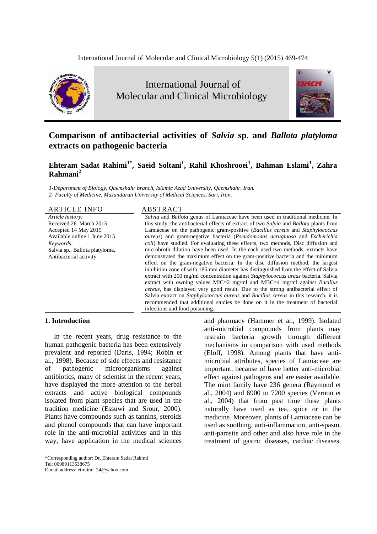

# International Journal of Molecular and Clinical Microbiology



# **Comparison of antibacterial activities of** *Salvia* **sp. and** *Ballota platyloma* **extracts on pathogenic bacteria**

**Ehteram Sadat Rahimi1\* , Saeid Soltani<sup>1</sup> , Rahil Khoshrooei<sup>1</sup> , Bahman Eslami<sup>1</sup> , Zahra Rahmani<sup>2</sup>**

*1-Department of Biology, Qaemshahr branch, Islamic Azad University, Qaemshahr, Iran. 2- Faculty of Medicine, Mazandaran University of Medical Sciences, Sari, Iran.*

ARTICLE INFO ABSTRACT

*Article history:* Received 26 March 2015 Accepted 14 May 2015 Available online 1 June 2015 *Keywords:* Salvia sp., Ballota platyloma, Antibacterial activity

*Salvia* and *Ballota* genus of Lamiaceae have been used in traditional medicine. In this study, the antibacterial effects of extract of two *Salvia* and *Ballota* plants from Lamiaceae on the pathogenic gram-positive (*Bacillus cereus* and *Staphylococcus aureus*) and gram-negative bacteria (*Pseudomonas aeruginosa* and *Escherichia coli*) have studied. For evaluating these effects, two methods, Disc diffusion and microbroth dilution have been used. In the each used two methods, extracts have demonstrated the maximum effect on the gram-positive bacteria and the minimum effect on the gram-negative bacteria. In the disc diffusion method, the largest inhibition zone of with 185 mm diameter has distinguished from the effect of Salvia extract with 200 mg/ml concentration against *Staphylococcus ureus* bacteria. Salvia extract with owning values MIC=2 mg/ml and MBC=4 mg/ml against *Bacillus cereus*, has displayed very good result. Due to the strong antibacterial effect of Salvia extract on *Staphylococcus aureus* and *Bacillus cereus* in this research, it is recommended that additional studies be done on it in the treatment of bacterial infections and food poisoning.

#### **1. Introduction**

In the recent years, drug resistance to the human pathogenic bacteria has been extensively prevalent and reported (Daris, 1994; Robin et al., 1998). Because of side effects and resistance of pathogenic microorganisms against antibiotics, many of scientist in the recent years, have displayed the more attention to the herbal extracts and active biological compounds isolated from plant species that are used in the tradition medicine (Essuwi and Srour, 2000). Plants have compounds such as tannins, steroids and phenol compounds that can have important role in the anti-microbial activities and in this way, have application in the medical sciences

\*Corresponding author: Dr. Ehteram Sadat Rahimi

E-mail address: etiraimi\_24@yahoo.com

and pharmacy (Hammer et al., 1999). Isolated anti-microbial compounds from plants may restrain bacteria growth through different mechanisms in comparison with used methods (Eloff, 1998). Among plants that have antimicrobial attributes, species of Lamiaceae are important, because of have better anti-microbial effect against pathogens and are easier available. The mint family have 236 genera (Raymond et al., 2004) and 6900 to 7200 species (Vernon et al., 2004) that from past time these plants naturally have used as tea, spice or in the medicine. Moreover, plants of Lamiaceae can be used as soothing, anti-inflammation, anti-spasm, anti-parasite and other and also have role in the treatment of gastric diseases, cardiac diseases,

Tel: 00989113538675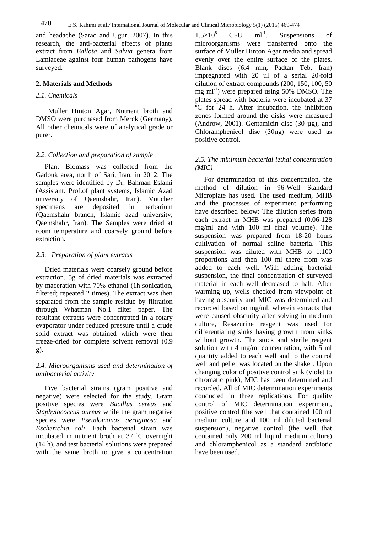and headache (Sarac and Ugur, 2007). In this research, the anti-bacterial effects of plants extract from *Ballota* and *Salvia* genera from Lamiaceae against four human pathogens have surveyed.

#### **2. Materials and Methods**

#### *2.1. Chemicals*

 Muller Hinton Agar, Nutrient broth and DMSO were purchased from Merck (Germany). All other chemicals were of analytical grade or purer.

#### *2.2. Collection and preparation of sample*

Plant Biomass was collected from the Gadouk area, north of Sari, Iran, in 2012. The samples were identified by Dr. Bahman Eslami (Assistant. Prof.of plant systems, Islamic Azad university of Qaemshahr, Iran). Voucher specimens are deposited in herbarium (Qaemshahr branch, Islamic azad university, Qaemshahr, Iran). The Samples were dried at room temperature and coarsely ground before extraction.

#### *2.3. Preparation of plant extracts*

Dried materials were coarsely ground before extraction. 5g of dried materials was extracted by maceration with 70% ethanol (1h sonication, filtered; repeated 2 times). The extract was then separated from the sample residue by filtration through Whatman No.1 filter paper. The resultant extracts were concentrated in a rotary evaporator under reduced pressure until a crude solid extract was obtained which were then freeze-dried for complete solvent removal (0.9 g).

# *2.4. Microorganisms used and determination of antibacterial activity*

Five bacterial strains (gram positive and negative) were selected for the study. Gram positive species were *Bacillus cereus* and *Staphylococcus aureus* while the gram negative species were *Pseudomonas aeruginosa* and *Escherichia coli*. Each bacterial strain was incubated in nutrient broth at 37 ◦C overnight (14 h), and test bacterial solutions were prepared with the same broth to give a concentration

 $1.5 \times 10^8$  CFU  $ml^{-1}$ . Suspensions of microorganisms were transferred onto the surface of Muller Hinton Agar media and spread evenly over the entire surface of the plates. Blank discs (6.4 mm, Padtan Teb, Iran) impregnated with 20 µl of a serial 20-fold dilution of extract compounds (200, 150, 100, 50 mg ml<sup>-1</sup>) were prepared using 50% DMSO. The plates spread with bacteria were incubated at 37 ºC for 24 h. After incubation, the inhibition zones formed around the disks were measured (Androw, 2001). Gentamicin disc (30 µg), and Chloramphenicol disc (30μg) were used as positive control.

## *2.5. The minimum bacterial lethal concentration (MIC)*

For determination of this concentration, the method of dilution in 96-Well Standard Microplate has used. The used medium, MHB and the processes of experiment performing have described below: The dilution series from each extract in MHB was prepared (0.06-128 mg/ml and with 100 ml final volume). The suspension was prepared from 18-20 hours cultivation of normal saline bacteria. This suspension was diluted with MHB to 1:100 proportions and then 100 ml there from was added to each well. With adding bacterial suspension, the final concentration of surveyed material in each well decreased to half. After warming up, wells checked from viewpoint of having obscurity and MIC was determined and recorded based on mg/ml. wherein extracts that were caused obscurity after solving in medium culture, Resazurine reagent was used for differentiating sinks having growth from sinks without growth. The stock and sterile reagent solution with 4 mg/ml concentration, with 5 ml quantity added to each well and to the control well and pellet was located on the shaker. Upon changing color of positive control sink (violet to chromatic pink), MIC has been determined and recorded. All of MIC determination experiments conducted in three replications. For quality control of MIC determination experiment, positive control (the well that contained 100 ml medium culture and 100 ml diluted bacterial suspension), negative control (the well that contained only 200 ml liquid medium culture) and chloramphenicol as a standard antibiotic have been used.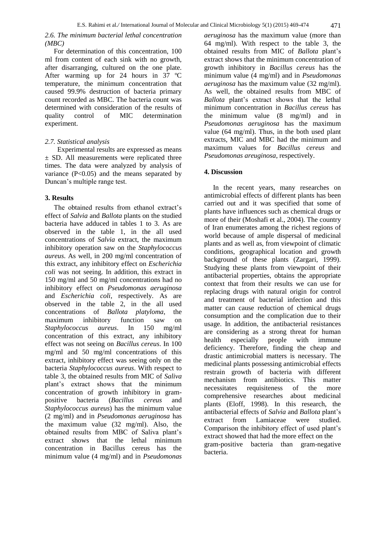# *2.6. The minimum bacterial lethal concentration (MBC)*

For determination of this concentration, 100 ml from content of each sink with no growth, after disarranging, cultured on the one plate. After warming up for 24 hours in 37 ºC temperature, the minimum concentration that caused 99.9% destruction of bacteria primary count recorded as MBC. The bacteria count was determined with consideration of the results of quality control of MIC determination experiment.

## *2.7. Statistical analysis*

 Experimental results are expressed as means ± SD. All measurements were replicated three times. The data were analyzed by analysis of variance  $(P<0.05)$  and the means separated by Duncan's multiple range test.

#### **3. Results**

The obtained results from ethanol extract's effect of *Salvia* and *Ballota* plants on the studied bacteria have adduced in tables 1 to 3. As are observed in the table 1, in the all used concentrations of *Salvia* extract, the maximum inhibitory operation saw on the *Staphylococcus aureus*. As well, in 200 mg/ml concentration of this extract, any inhibitory effect on *Escherichia coli* was not seeing. In addition, this extract in 150 mg/ml and 50 mg/ml concentrations had no inhibitory effect on *Pseudomonas aeruginosa* and *Escherichia coli*, respectively. As are observed in the table 2, in the all used concentrations of *Ballota platyloma*, the maximum inhibitory function saw on *Staphylococcus aureus*. In 150 mg/ml concentration of this extract, any inhibitory effect was not seeing on *Bacillus cereus*. In 100 mg/ml and 50 mg/ml concentrations of this extract, inhibitory effect was seeing only on the bacteria *Staphylococcus aureus*. With respect to table 3, the obtained results from MIC of *Saliva* plant's extract shows that the minimum concentration of growth inhibitory in grampositive bacteria (*Bacillus cereus* and *Staphylococcus aureus*) has the minimum value (2 mg/ml) and in *Pseudomonas aeruginosa* has the maximum value (32 mg/ml). Also, the obtained results from MBC of Saliva plant's extract shows that the lethal minimum concentration in Bacillus cereus has the minimum value (4 mg/ml) and in *Pseudomonas*

*aeruginosa* has the maximum value (more than 64 mg/ml). With respect to the table 3, the obtained results from MIC of *Ballota* plant's extract shows that the minimum concentration of growth inhibitory in *Bacillus cereus* has the minimum value (4 mg/ml) and in *Pseudomonas aeruginosa* has the maximum value (32 mg/ml). As well, the obtained results from MBC of *Ballota* plant's extract shows that the lethal minimum concentration in *Bacillus cereus* has the minimum value (8 mg/ml) and in *Pseudomonas aeruginosa* has the maximum value (64 mg/ml). Thus, in the both used plant extracts, MIC and MBC had the minimum and maximum values for *Bacillus cereus* and *Pseudomonas areuginosa*, respectively.

#### **4. Discussion**

In the recent years, many researches on antimicrobial effects of different plants has been carried out and it was specified that some of plants have influences such as chemical drugs or more of their (Moshafi et al., 2004). The country of Iran enumerates among the richest regions of world because of ample dispersal of medicinal plants and as well as, from viewpoint of climatic conditions, geographical location and growth background of these plants (Zargari, 1999). Studying these plants from viewpoint of their antibacterial properties, obtains the appropriate context that from their results we can use for replacing drugs with natural origin for control and treatment of bacterial infection and this matter can cause reduction of chemical drugs consumption and the complication due to their usage. In addition, the antibacterial resistances are considering as a strong threat for human health especially people with immune deficiency. Therefore, finding the cheap and drastic antimicrobial matters is necessary. The medicinal plants possessing antimicrobial effects restrain growth of bacteria with different mechanism from antibiotics. This matter necessitates requisiteness of the more comprehensive researches about medicinal plants (Eloff, 1998). In this research, the antibacterial effects of *Salvia* and *Ballota* plant's extract from Lamiaceae were studied. Comparison the inhibitory effect of used plant's extract showed that had the more effect on the gram-positive bacteria than gram-negative bacteria.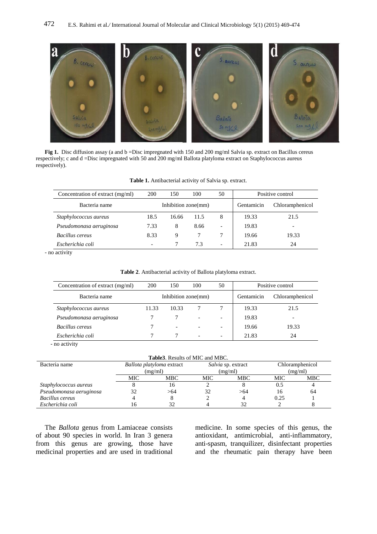

Fig 1. Disc diffusion assay (a and b =Disc impregnated with 150 and 200 mg/ml Salvia sp. extract on Bacillus cereus respectively; c and d =Disc impregnated with 50 and 200 mg/ml Ballota platyloma extract on Staphylococcus aureus respectively).

| Concentration of extract (mg/ml) | <b>200</b>          | 150   | 100  | 50                       | Positive control |                 |  |
|----------------------------------|---------------------|-------|------|--------------------------|------------------|-----------------|--|
| Bacteria name                    | Inhibition zone(mm) |       |      |                          | Gentamicin       | Chloramphenicol |  |
| Staphylococcus aureus            | 18.5                | 16.66 | 11.5 | 8                        | 19.33            | 21.5            |  |
| Pseudomonasa aeruginosa          | 7.33                | 8     | 8.66 | $\overline{\phantom{0}}$ | 19.83            |                 |  |
| Bacillus cereus                  | 8.33                | 9     |      |                          | 19.66            | 19.33           |  |
| Escherichia coli                 |                     |       | 7.3  | $\overline{\phantom{0}}$ | 21.83            | 24              |  |

#### **Table 1.** Antibacterial activity of Salvia sp. extract.

- no activity

| <b>Table 2.</b> Antibacterial activity of Ballota platyloma extract. |  |  |
|----------------------------------------------------------------------|--|--|
|----------------------------------------------------------------------|--|--|

| Concentration of extract (mg/ml) | 200                 | 150                      | 100                      | 50                       | Positive control |       |  |
|----------------------------------|---------------------|--------------------------|--------------------------|--------------------------|------------------|-------|--|
| Bacteria name                    | Inhibition zone(mm) |                          |                          | Gentamicin               | Chloramphenicol  |       |  |
| Staphylococcus aureus            | 11.33               | 10.33                    |                          |                          | 19.33            | 21.5  |  |
| Pseudomonasa aeruginosa          |                     |                          | $\overline{\phantom{a}}$ |                          | 19.83            |       |  |
| Bacillus cereus                  |                     | $\overline{\phantom{0}}$ | $\overline{\phantom{a}}$ |                          | 19.66            | 19.33 |  |
| Escherichia coli                 |                     |                          | $\overline{\phantom{0}}$ | $\overline{\phantom{0}}$ | 21.83            | 24    |  |

- no activity

| Bacteria name           |         | Ballota platyloma extract |     | Salvia sp. extract | Chloramphenicol |     |
|-------------------------|---------|---------------------------|-----|--------------------|-----------------|-----|
|                         | (mg/ml) |                           |     | (mg/ml)            | (mg/ml)         |     |
|                         | MIC     | <b>MBC</b>                | MIC | <b>MBC</b>         | MIC             | MBC |
| Staphylococcus aureus   |         | 16                        |     |                    | 0.5             |     |
| Pseudomonasa aeruginosa | 32      | >64                       |     | >64                | 16              | 64  |
| Bacillus cereus         |         |                           |     |                    | 0.25            |     |
| Escherichia coli        | Iб      | 32                        |     | 32                 |                 |     |

The *Ballota* genus from Lamiaceae consists of about 90 species in world. In Iran 3 genera from this genus are growing, those have medicinal properties and are used in traditional

medicine. In some species of this genus, the antioxidant, antimicrobial, anti-inflammatory, anti-spasm, tranquilizer, disinfectant properties and the rheumatic pain therapy have been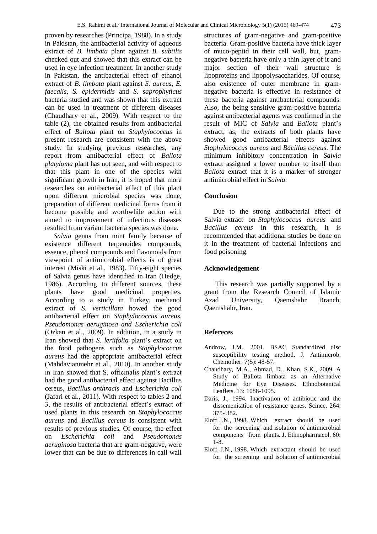proven by researches (Principa, 1988). In a study in Pakistan, the antibacterial activity of aqueous extract of *B. limbata* plant against *B. subtilis* checked out and showed that this extract can be used in eye infection treatment. In another study in Pakistan, the antibacterial effect of ethanol extract of *B. limbata* plant against *S. aureus, E. faecalis, S. epidermidis* and *S. saprophyticus* bacteria studied and was shown that this extract can be used in treatment of different diseases (Chaudhary et al., 2009). With respect to the table (2), the obtained results from antibacterial effect of *Ballota* plant on *Staphylococcus* in present research are consistent with the above study. In studying previous researches, any report from antibacterial effect of *Ballota platyloma* plant has not seen, and with respect to that this plant in one of the species with significant growth in Iran, it is hoped that more researches on antibacterial effect of this plant upon different microbial species was done, preparation of different medicinal forms from it become possible and worthwhile action with aimed to improvement of infectious diseases resulted from variant bacteria species was done.

*Salvia* genus from mint family because of existence different terpenoides compounds, essence, phenol compounds and flavonoids from viewpoint of antimicrobial effects is of great interest (Miski et al., 1983). Fifty-eight species of Salvia genus have identified in Iran (Hedge, 1986). According to different sources, these plants have good medicinal properties. According to a study in Turkey, methanol extract of *S. verticillata* howed the good antibacterial effect on *Staphylococcus aureus, Pseudomonas aeruginosa and Escherichia coli*  (Özkan et al., 2009). In addition, in a study in Iran showed that *S. leriifolia* plant's extract on the food pathogens such as *Staphylococcus aureus* had the appropriate antibacterial effect (Mahdavianmehr et al., 2010). In another study in Iran showed that S. officinalis plant's extract had the good antibacterial effect against Bacillus cereus, *Bacillus anthracis* and *Escherichia coli*  (Jafari et al., 2011). With respect to tables 2 and 3, the results of antibacterial effect's extract of used plants in this research on *Staphylococcus aureus* and *Bacillus cereus* is consistent with results of previous studies. Of course, the effect on *Escherichia coli* and *Pseudomonas aeruginosa* bacteria that are gram-negative, were lower that can be due to differences in call wall

structures of gram-negative and gram-positive bacteria. Gram-positive bacteria have thick layer of muco-peptid in their cell wall, but, gramnegative bacteria have only a thin layer of it and major section of their wall structure is lipoproteins and lipopolysaccharides. Of course, also existence of outer membrane in gramnegative bacteria is effective in resistance of these bacteria against antibacterial compounds. Also, the being sensitive gram-positive bacteria against antibacterial agents was confirmed in the result of MIC of *Salvia* and *Ballota* plant's extract, as, the extracts of both plants have showed good antibacterial effects against *Staphylococcus aureus* and *Bacillus cereus*. The minimum inhibitory concentration in *Salvia* extract assigned a lower number to itself than *Ballota* extract that it is a marker of stronger antimicrobial effect in *Salvia*.

#### **Conclusion**

Due to the strong antibacterial effect of Salvia extract on *Staphylococcus aureus* and *Bacillus cereus* in this research, it is recommended that additional studies be done on it in the treatment of bacterial infections and food poisoning.

#### **Acknowledgement**

This research was partially supported by a grant from the Research Council of Islamic Azad University, Qaemshahr Branch, Qaemshahr, Iran.

## **Refereces**

- Androw, J.M., 2001. BSAC Standardized disc susceptibility testing method. J. Antimicrob. Chemother. 7(5): 48-57.
- Chaudhary, M.A., Ahmad, D., Khan, S.K., 2009. A Study of Ballota limbata as an Alternative Medicine for Eye Diseases. Ethnobotanical Leaflets. 13: 1088-1095.
- Daris, J., 1994. Inactivation of antibiotic and the dissemenitation of resistance genes. Scince. 264: 375- 382.
- Eloff J.N., 1998. Which extract should be used for the screening and isolation of antimicrobial components from plants. J. Ethnopharmacol. 60: 1-8.
- Eloff, J.N., 1998. Which extractant should be used for the screening and isolation of antimicrobial